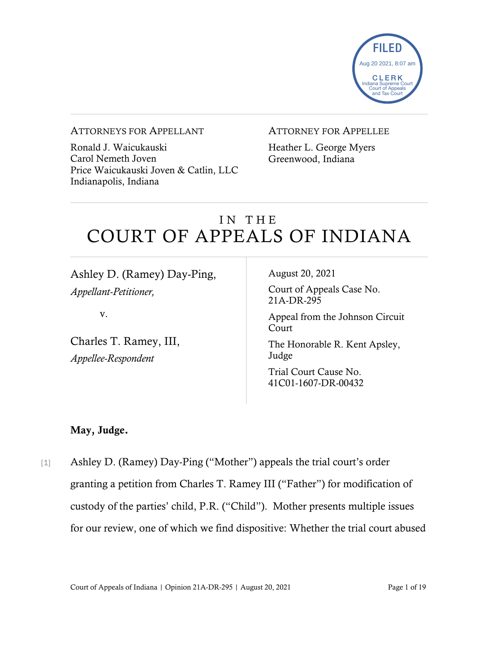

#### ATTORNEYS FOR APPELLANT

Ronald J. Waicukauski Carol Nemeth Joven Price Waicukauski Joven & Catlin, LLC Indianapolis, Indiana

#### ATTORNEY FOR APPELLEE

Heather L. George Myers Greenwood, Indiana

# IN THE COURT OF APPEALS OF INDIANA

Ashley D. (Ramey) Day-Ping, *Appellant-Petitioner,*

v.

Charles T. Ramey, III, *Appellee-Respondent*

August 20, 2021

Court of Appeals Case No. 21A-DR-295

Appeal from the Johnson Circuit Court

The Honorable R. Kent Apsley, Judge

Trial Court Cause No. 41C01-1607-DR-00432

### May, Judge.

[1] Ashley D. (Ramey) Day-Ping ("Mother") appeals the trial court's order granting a petition from Charles T. Ramey III ("Father") for modification of custody of the parties' child, P.R. ("Child"). Mother presents multiple issues for our review, one of which we find dispositive: Whether the trial court abused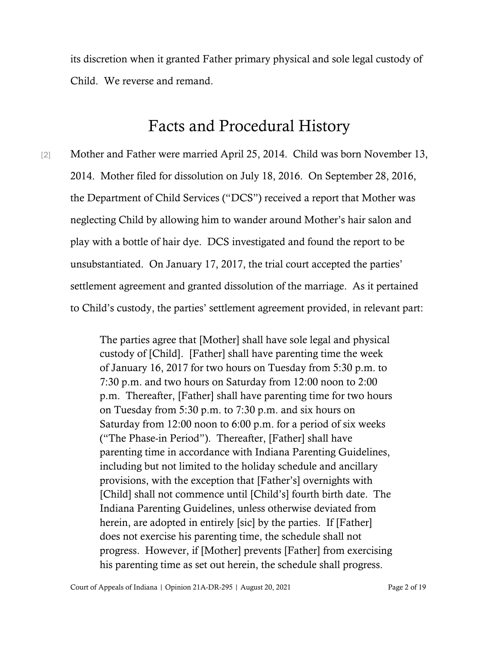its discretion when it granted Father primary physical and sole legal custody of Child. We reverse and remand.

### Facts and Procedural History

[2] Mother and Father were married April 25, 2014. Child was born November 13, 2014. Mother filed for dissolution on July 18, 2016. On September 28, 2016, the Department of Child Services ("DCS") received a report that Mother was neglecting Child by allowing him to wander around Mother's hair salon and play with a bottle of hair dye. DCS investigated and found the report to be unsubstantiated. On January 17, 2017, the trial court accepted the parties' settlement agreement and granted dissolution of the marriage. As it pertained to Child's custody, the parties' settlement agreement provided, in relevant part:

> The parties agree that [Mother] shall have sole legal and physical custody of [Child]. [Father] shall have parenting time the week of January 16, 2017 for two hours on Tuesday from 5:30 p.m. to 7:30 p.m. and two hours on Saturday from 12:00 noon to 2:00 p.m. Thereafter, [Father] shall have parenting time for two hours on Tuesday from 5:30 p.m. to 7:30 p.m. and six hours on Saturday from 12:00 noon to 6:00 p.m. for a period of six weeks ("The Phase-in Period"). Thereafter, [Father] shall have parenting time in accordance with Indiana Parenting Guidelines, including but not limited to the holiday schedule and ancillary provisions, with the exception that [Father's] overnights with [Child] shall not commence until [Child's] fourth birth date. The Indiana Parenting Guidelines, unless otherwise deviated from herein, are adopted in entirely [sic] by the parties. If [Father] does not exercise his parenting time, the schedule shall not progress. However, if [Mother] prevents [Father] from exercising his parenting time as set out herein, the schedule shall progress.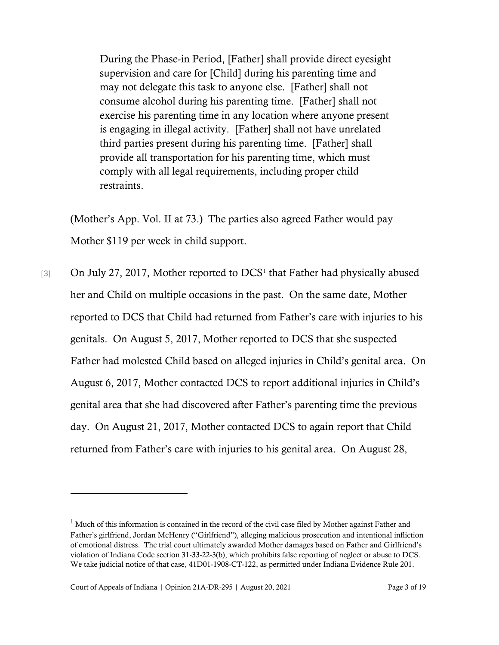During the Phase-in Period, [Father] shall provide direct eyesight supervision and care for [Child] during his parenting time and may not delegate this task to anyone else. [Father] shall not consume alcohol during his parenting time. [Father] shall not exercise his parenting time in any location where anyone present is engaging in illegal activity. [Father] shall not have unrelated third parties present during his parenting time. [Father] shall provide all transportation for his parenting time, which must comply with all legal requirements, including proper child restraints.

(Mother's App. Vol. II at 73.) The parties also agreed Father would pay Mother \$119 per week in child support.

[3] On July 27, 20[1](#page-2-0)7, Mother reported to  $DCS<sup>1</sup>$  that Father had physically abused her and Child on multiple occasions in the past. On the same date, Mother reported to DCS that Child had returned from Father's care with injuries to his genitals. On August 5, 2017, Mother reported to DCS that she suspected Father had molested Child based on alleged injuries in Child's genital area. On August 6, 2017, Mother contacted DCS to report additional injuries in Child's genital area that she had discovered after Father's parenting time the previous day. On August 21, 2017, Mother contacted DCS to again report that Child returned from Father's care with injuries to his genital area. On August 28,

<span id="page-2-0"></span><sup>&</sup>lt;sup>1</sup> Much of this information is contained in the record of the civil case filed by Mother against Father and Father's girlfriend, Jordan McHenry ("Girlfriend"), alleging malicious prosecution and intentional infliction of emotional distress. The trial court ultimately awarded Mother damages based on Father and Girlfriend's violation of Indiana Code section 31-33-22-3(b), which prohibits false reporting of neglect or abuse to DCS. We take judicial notice of that case, 41D01-1908-CT-122, as permitted under Indiana Evidence Rule 201.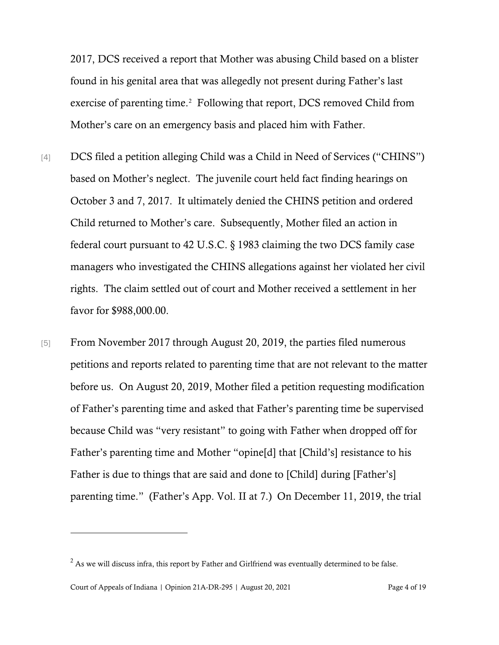2017, DCS received a report that Mother was abusing Child based on a blister found in his genital area that was allegedly not present during Father's last exercise of parenting time.<sup>[2](#page-3-0)</sup> Following that report, DCS removed Child from Mother's care on an emergency basis and placed him with Father.

- [4] DCS filed a petition alleging Child was a Child in Need of Services ("CHINS") based on Mother's neglect. The juvenile court held fact finding hearings on October 3 and 7, 2017. It ultimately denied the CHINS petition and ordered Child returned to Mother's care. Subsequently, Mother filed an action in federal court pursuant to 42 U.S.C. § 1983 claiming the two DCS family case managers who investigated the CHINS allegations against her violated her civil rights. The claim settled out of court and Mother received a settlement in her favor for \$988,000.00.
- [5] From November 2017 through August 20, 2019, the parties filed numerous petitions and reports related to parenting time that are not relevant to the matter before us. On August 20, 2019, Mother filed a petition requesting modification of Father's parenting time and asked that Father's parenting time be supervised because Child was "very resistant" to going with Father when dropped off for Father's parenting time and Mother "opine[d] that [Child's] resistance to his Father is due to things that are said and done to [Child] during [Father's] parenting time." (Father's App. Vol. II at 7.) On December 11, 2019, the trial

<span id="page-3-0"></span> $2$  As we will discuss infra, this report by Father and Girlfriend was eventually determined to be false.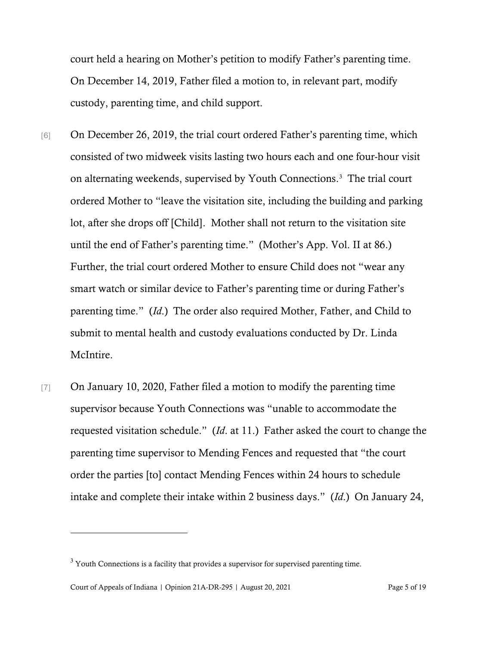court held a hearing on Mother's petition to modify Father's parenting time. On December 14, 2019, Father filed a motion to, in relevant part, modify custody, parenting time, and child support.

- [6] On December 26, 2019, the trial court ordered Father's parenting time, which consisted of two midweek visits lasting two hours each and one four-hour visit on alternating weekends, supervised by Youth Connections.<sup>[3](#page-4-0)</sup> The trial court ordered Mother to "leave the visitation site, including the building and parking lot, after she drops off [Child]. Mother shall not return to the visitation site until the end of Father's parenting time." (Mother's App. Vol. II at 86.) Further, the trial court ordered Mother to ensure Child does not "wear any smart watch or similar device to Father's parenting time or during Father's parenting time." (*Id*.) The order also required Mother, Father, and Child to submit to mental health and custody evaluations conducted by Dr. Linda McIntire.
- [7] On January 10, 2020, Father filed a motion to modify the parenting time supervisor because Youth Connections was "unable to accommodate the requested visitation schedule." (*Id*. at 11.) Father asked the court to change the parenting time supervisor to Mending Fences and requested that "the court order the parties [to] contact Mending Fences within 24 hours to schedule intake and complete their intake within 2 business days." (*Id*.) On January 24,

<span id="page-4-0"></span><sup>&</sup>lt;sup>3</sup> Youth Connections is a facility that provides a supervisor for supervised parenting time.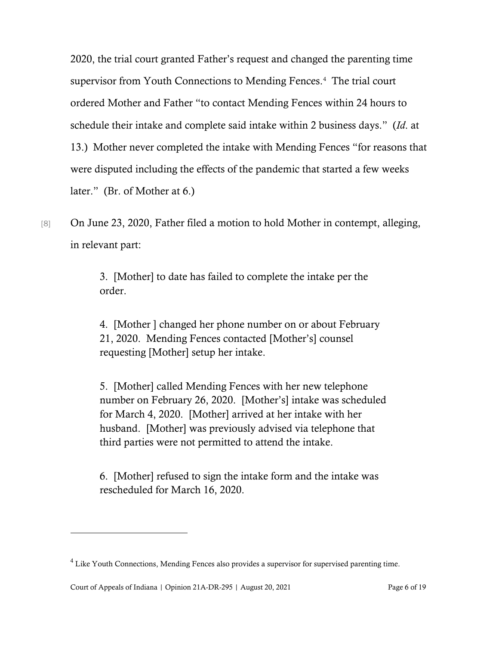2020, the trial court granted Father's request and changed the parenting time supervisor from Youth Connections to Mending Fences.<sup>[4](#page-5-0)</sup> The trial court ordered Mother and Father "to contact Mending Fences within 24 hours to schedule their intake and complete said intake within 2 business days." (*Id*. at 13.) Mother never completed the intake with Mending Fences "for reasons that were disputed including the effects of the pandemic that started a few weeks later." (Br. of Mother at 6.)

[8] On June 23, 2020, Father filed a motion to hold Mother in contempt, alleging, in relevant part:

> 3. [Mother] to date has failed to complete the intake per the order.

4. [Mother ] changed her phone number on or about February 21, 2020. Mending Fences contacted [Mother's] counsel requesting [Mother] setup her intake.

5. [Mother] called Mending Fences with her new telephone number on February 26, 2020. [Mother's] intake was scheduled for March 4, 2020. [Mother] arrived at her intake with her husband. [Mother] was previously advised via telephone that third parties were not permitted to attend the intake.

6. [Mother] refused to sign the intake form and the intake was rescheduled for March 16, 2020.

<span id="page-5-0"></span><sup>&</sup>lt;sup>4</sup> Like Youth Connections, Mending Fences also provides a supervisor for supervised parenting time.

Court of Appeals of Indiana | Opinion 21A-DR-295 | August 20, 2021 Page 6 of 19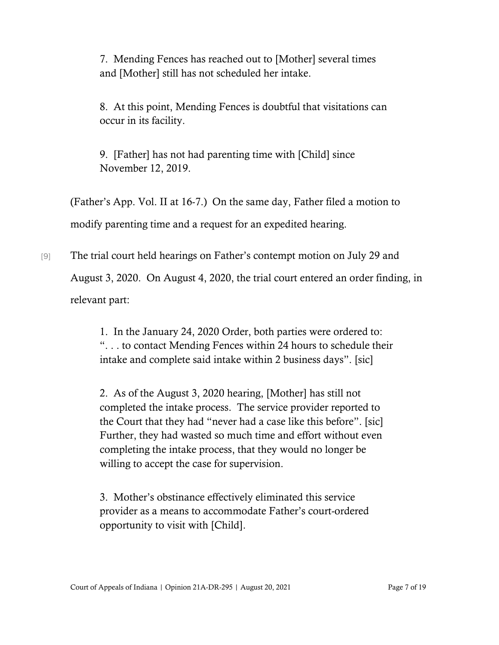7. Mending Fences has reached out to [Mother] several times and [Mother] still has not scheduled her intake.

8. At this point, Mending Fences is doubtful that visitations can occur in its facility.

9. [Father] has not had parenting time with [Child] since November 12, 2019.

(Father's App. Vol. II at 16-7.) On the same day, Father filed a motion to modify parenting time and a request for an expedited hearing.

[9] The trial court held hearings on Father's contempt motion on July 29 and August 3, 2020. On August 4, 2020, the trial court entered an order finding, in relevant part:

> 1. In the January 24, 2020 Order, both parties were ordered to: ". . . to contact Mending Fences within 24 hours to schedule their intake and complete said intake within 2 business days". [sic]

2. As of the August 3, 2020 hearing, [Mother] has still not completed the intake process. The service provider reported to the Court that they had "never had a case like this before". [sic] Further, they had wasted so much time and effort without even completing the intake process, that they would no longer be willing to accept the case for supervision.

3. Mother's obstinance effectively eliminated this service provider as a means to accommodate Father's court-ordered opportunity to visit with [Child].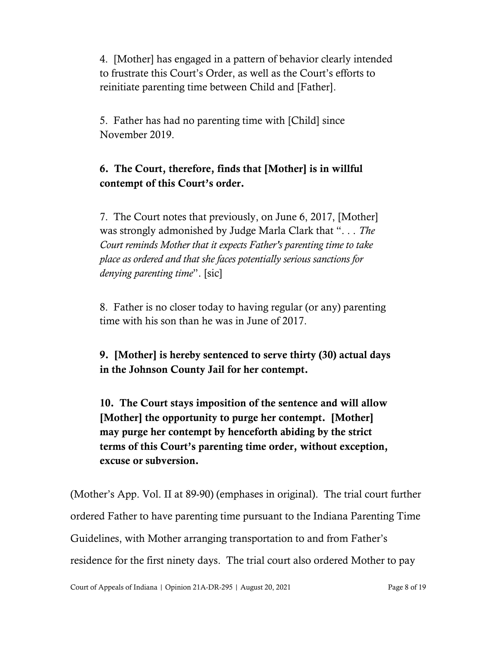4. [Mother] has engaged in a pattern of behavior clearly intended to frustrate this Court's Order, as well as the Court's efforts to reinitiate parenting time between Child and [Father].

5. Father has had no parenting time with [Child] since November 2019.

### 6. The Court, therefore, finds that [Mother] is in willful contempt of this Court's order.

7. The Court notes that previously, on June 6, 2017, [Mother] was strongly admonished by Judge Marla Clark that ". . . *The Court reminds Mother that it expects Father's parenting time to take place as ordered and that she faces potentially serious sanctions for denying parenting time*". [sic]

8. Father is no closer today to having regular (or any) parenting time with his son than he was in June of 2017.

9. [Mother] is hereby sentenced to serve thirty (30) actual days in the Johnson County Jail for her contempt.

10. The Court stays imposition of the sentence and will allow [Mother] the opportunity to purge her contempt. [Mother] may purge her contempt by henceforth abiding by the strict terms of this Court's parenting time order, without exception, excuse or subversion.

(Mother's App. Vol. II at 89-90) (emphases in original). The trial court further ordered Father to have parenting time pursuant to the Indiana Parenting Time Guidelines, with Mother arranging transportation to and from Father's residence for the first ninety days. The trial court also ordered Mother to pay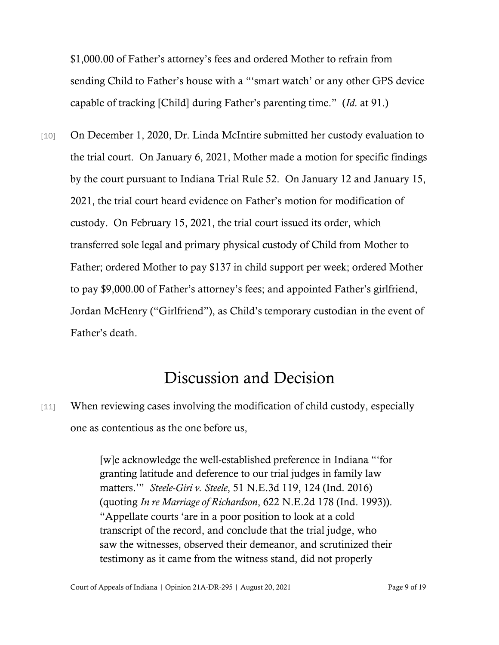\$1,000.00 of Father's attorney's fees and ordered Mother to refrain from sending Child to Father's house with a "'smart watch' or any other GPS device capable of tracking [Child] during Father's parenting time." (*Id*. at 91.)

[10] On December 1, 2020, Dr. Linda McIntire submitted her custody evaluation to the trial court. On January 6, 2021, Mother made a motion for specific findings by the court pursuant to Indiana Trial Rule 52. On January 12 and January 15, 2021, the trial court heard evidence on Father's motion for modification of custody. On February 15, 2021, the trial court issued its order, which transferred sole legal and primary physical custody of Child from Mother to Father; ordered Mother to pay \$137 in child support per week; ordered Mother to pay \$9,000.00 of Father's attorney's fees; and appointed Father's girlfriend, Jordan McHenry ("Girlfriend"), as Child's temporary custodian in the event of Father's death.

# Discussion and Decision

[11] When reviewing cases involving the modification of child custody, especially one as contentious as the one before us,

> [w]e acknowledge the well-established preference in Indiana "'for granting latitude and deference to our trial judges in family law matters.'" *Steele-Giri v. Steele*, 51 N.E.3d 119, 124 (Ind. 2016) (quoting *In re Marriage of Richardson*, 622 N.E.2d 178 (Ind. 1993)). "Appellate courts 'are in a poor position to look at a cold transcript of the record, and conclude that the trial judge, who saw the witnesses, observed their demeanor, and scrutinized their testimony as it came from the witness stand, did not properly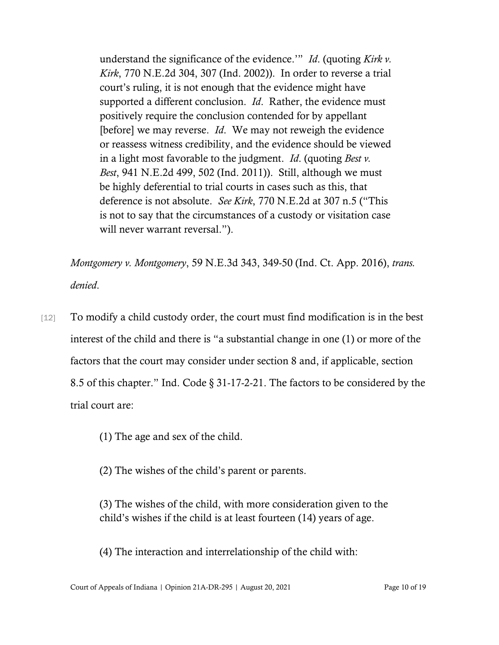understand the significance of the evidence.'" *Id*. (quoting *Kirk v. Kirk*, 770 N.E.2d 304, 307 (Ind. 2002)). In order to reverse a trial court's ruling, it is not enough that the evidence might have supported a different conclusion. *Id*. Rather, the evidence must positively require the conclusion contended for by appellant [before] we may reverse. *Id*. We may not reweigh the evidence or reassess witness credibility, and the evidence should be viewed in a light most favorable to the judgment. *Id*. (quoting *Best v. Best*, 941 N.E.2d 499, 502 (Ind. 2011)). Still, although we must be highly deferential to trial courts in cases such as this, that deference is not absolute. *See Kirk*, 770 N.E.2d at 307 n.5 ("This is not to say that the circumstances of a custody or visitation case will never warrant reversal.").

*Montgomery v. Montgomery*, 59 N.E.3d 343, 349-50 (Ind. Ct. App. 2016), *trans. denied*.

- [12] To modify a child custody order, the court must find modification is in the best interest of the child and there is "a substantial change in one (1) or more of the factors that the court may consider under section 8 and, if applicable, section 8.5 of this chapter." Ind. Code § 31-17-2-21. The factors to be considered by the trial court are:
	- (1) The age and sex of the child.
	- (2) The wishes of the child's parent or parents.

(3) The wishes of the child, with more consideration given to the child's wishes if the child is at least fourteen (14) years of age.

(4) The interaction and interrelationship of the child with: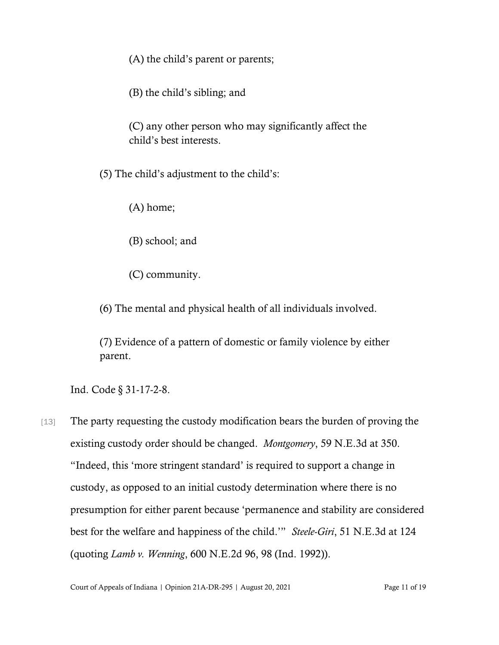(A) the child's parent or parents;

(B) the child's sibling; and

(C) any other person who may significantly affect the child's best interests.

(5) The child's adjustment to the child's:

(A) home;

(B) school; and

(C) community.

(6) The mental and physical health of all individuals involved.

(7) Evidence of a pattern of domestic or family violence by either parent.

Ind. Code § 31-17-2-8.

[13] The party requesting the custody modification bears the burden of proving the existing custody order should be changed. *Montgomery*, 59 N.E.3d at 350. "Indeed, this 'more stringent standard' is required to support a change in custody, as opposed to an initial custody determination where there is no presumption for either parent because 'permanence and stability are considered best for the welfare and happiness of the child.'" *Steele-Giri*, 51 N.E.3d at 124 (quoting *Lamb v. Wenning*, 600 N.E.2d 96, 98 (Ind. 1992)).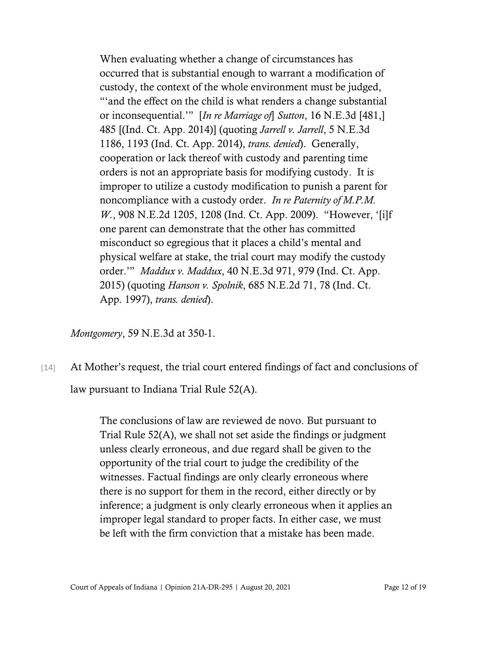When evaluating whether a change of circumstances has occurred that is substantial enough to warrant a modification of custody, the context of the whole environment must be judged, "'and the effect on the child is what renders a change substantial or inconsequential.'" [*In re Marriage of*] *Sutton*, 16 N.E.3d [481,] 485 [(Ind. Ct. App. 2014)] (quoting *Jarrell v. Jarrell*, 5 N.E.3d 1186, 1193 (Ind. Ct. App. 2014), *trans. denied*). Generally, cooperation or lack thereof with custody and parenting time orders is not an appropriate basis for modifying custody. It is improper to utilize a custody modification to punish a parent for noncompliance with a custody order. *In re Paternity of M.P.M. W.*, 908 N.E.2d 1205, 1208 (Ind. Ct. App. 2009). "However, '[i]f one parent can demonstrate that the other has committed misconduct so egregious that it places a child's mental and physical welfare at stake, the trial court may modify the custody order.'" *Maddux v. Maddux*, 40 N.E.3d 971, 979 (Ind. Ct. App. 2015) (quoting *Hanson v. Spolnik*, 685 N.E.2d 71, 78 (Ind. Ct. App. 1997), *trans. denied*).

*Montgomery*, 59 N.E.3d at 350-1.

[14] At Mother's request, the trial court entered findings of fact and conclusions of law pursuant to Indiana Trial Rule 52(A).

> The conclusions of law are reviewed de novo. But pursuant to Trial Rule 52(A), we shall not set aside the findings or judgment unless clearly erroneous, and due regard shall be given to the opportunity of the trial court to judge the credibility of the witnesses. Factual findings are only clearly erroneous where there is no support for them in the record, either directly or by inference; a judgment is only clearly erroneous when it applies an improper legal standard to proper facts. In either case, we must be left with the firm conviction that a mistake has been made.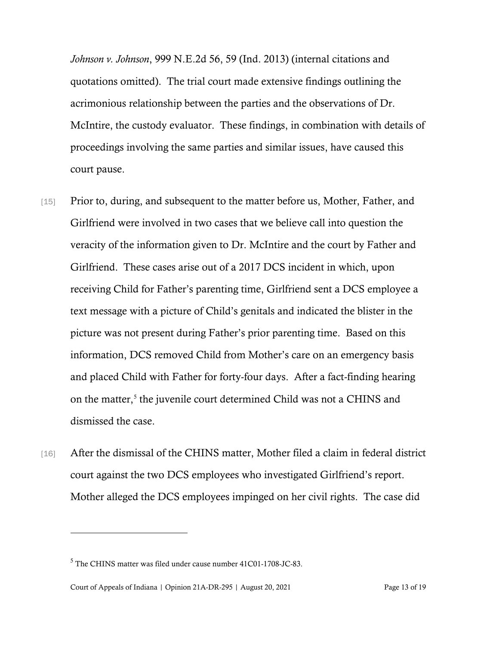*Johnson v. Johnson*, 999 N.E.2d 56, 59 (Ind. 2013) (internal citations and quotations omitted). The trial court made extensive findings outlining the acrimonious relationship between the parties and the observations of Dr. McIntire, the custody evaluator. These findings, in combination with details of proceedings involving the same parties and similar issues, have caused this court pause.

- [15] Prior to, during, and subsequent to the matter before us, Mother, Father, and Girlfriend were involved in two cases that we believe call into question the veracity of the information given to Dr. McIntire and the court by Father and Girlfriend. These cases arise out of a 2017 DCS incident in which, upon receiving Child for Father's parenting time, Girlfriend sent a DCS employee a text message with a picture of Child's genitals and indicated the blister in the picture was not present during Father's prior parenting time. Based on this information, DCS removed Child from Mother's care on an emergency basis and placed Child with Father for forty-four days. After a fact-finding hearing on the matter,<sup>[5](#page-12-0)</sup> the juvenile court determined Child was not a CHINS and dismissed the case.
- [16] After the dismissal of the CHINS matter, Mother filed a claim in federal district court against the two DCS employees who investigated Girlfriend's report. Mother alleged the DCS employees impinged on her civil rights. The case did

<span id="page-12-0"></span><sup>5</sup> The CHINS matter was filed under cause number 41C01-1708-JC-83.

Court of Appeals of Indiana | Opinion 21A-DR-295 | August 20, 2021 Page 13 of 19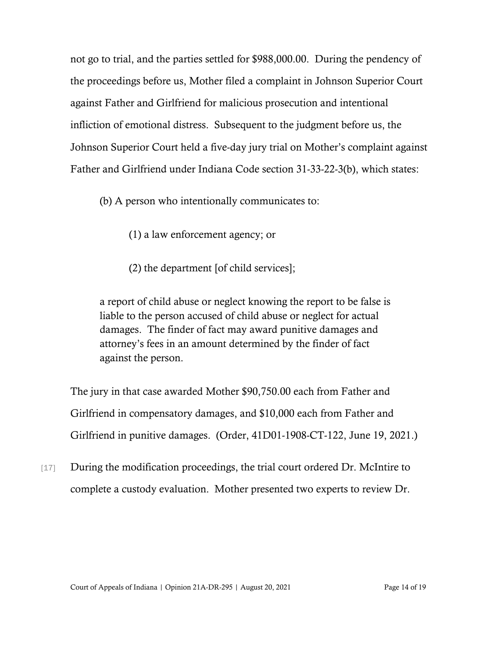not go to trial, and the parties settled for \$988,000.00. During the pendency of the proceedings before us, Mother filed a complaint in Johnson Superior Court against Father and Girlfriend for malicious prosecution and intentional infliction of emotional distress. Subsequent to the judgment before us, the Johnson Superior Court held a five-day jury trial on Mother's complaint against Father and Girlfriend under Indiana Code section 31-33-22-3(b), which states:

(b) A person who intentionally communicates to:

(1) a law enforcement agency; or

(2) the department [of child services];

a report of child abuse or neglect knowing the report to be false is liable to the person accused of child abuse or neglect for actual damages. The finder of fact may award punitive damages and attorney's fees in an amount determined by the finder of fact against the person.

The jury in that case awarded Mother \$90,750.00 each from Father and Girlfriend in compensatory damages, and \$10,000 each from Father and Girlfriend in punitive damages. (Order, 41D01-1908-CT-122, June 19, 2021.)

[17] During the modification proceedings, the trial court ordered Dr. McIntire to complete a custody evaluation. Mother presented two experts to review Dr.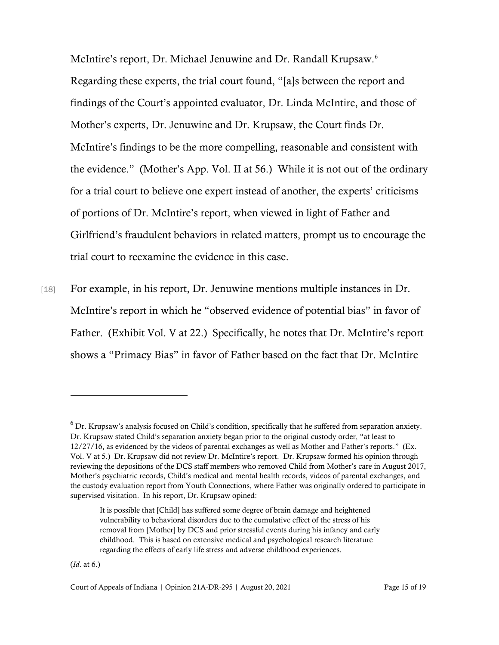McIntire's report, Dr. Michael Jenuwine and Dr. Randall Krupsaw.<sup>[6](#page-14-0)</sup> Regarding these experts, the trial court found, "[a]s between the report and findings of the Court's appointed evaluator, Dr. Linda McIntire, and those of Mother's experts, Dr. Jenuwine and Dr. Krupsaw, the Court finds Dr. McIntire's findings to be the more compelling, reasonable and consistent with the evidence." (Mother's App. Vol. II at 56.) While it is not out of the ordinary for a trial court to believe one expert instead of another, the experts' criticisms of portions of Dr. McIntire's report, when viewed in light of Father and Girlfriend's fraudulent behaviors in related matters, prompt us to encourage the trial court to reexamine the evidence in this case.

[18] For example, in his report, Dr. Jenuwine mentions multiple instances in Dr. McIntire's report in which he "observed evidence of potential bias" in favor of Father. (Exhibit Vol. V at 22.) Specifically, he notes that Dr. McIntire's report shows a "Primacy Bias" in favor of Father based on the fact that Dr. McIntire

(*Id*. at 6.)

<span id="page-14-0"></span> $6$  Dr. Krupsaw's analysis focused on Child's condition, specifically that he suffered from separation anxiety. Dr. Krupsaw stated Child's separation anxiety began prior to the original custody order, "at least to 12/27/16, as evidenced by the videos of parental exchanges as well as Mother and Father's reports." (Ex. Vol. V at 5.) Dr. Krupsaw did not review Dr. McIntire's report. Dr. Krupsaw formed his opinion through reviewing the depositions of the DCS staff members who removed Child from Mother's care in August 2017, Mother's psychiatric records, Child's medical and mental health records, videos of parental exchanges, and the custody evaluation report from Youth Connections, where Father was originally ordered to participate in supervised visitation. In his report, Dr. Krupsaw opined:

It is possible that [Child] has suffered some degree of brain damage and heightened vulnerability to behavioral disorders due to the cumulative effect of the stress of his removal from [Mother] by DCS and prior stressful events during his infancy and early childhood. This is based on extensive medical and psychological research literature regarding the effects of early life stress and adverse childhood experiences.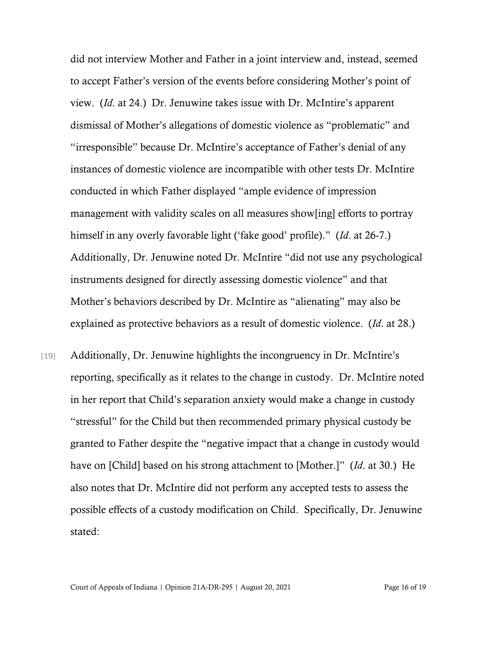did not interview Mother and Father in a joint interview and, instead, seemed to accept Father's version of the events before considering Mother's point of view. (*Id*. at 24.) Dr. Jenuwine takes issue with Dr. McIntire's apparent dismissal of Mother's allegations of domestic violence as "problematic" and "irresponsible" because Dr. McIntire's acceptance of Father's denial of any instances of domestic violence are incompatible with other tests Dr. McIntire conducted in which Father displayed "ample evidence of impression management with validity scales on all measures show[ing] efforts to portray himself in any overly favorable light ('fake good' profile)." (*Id*. at 26-7.) Additionally, Dr. Jenuwine noted Dr. McIntire "did not use any psychological instruments designed for directly assessing domestic violence" and that Mother's behaviors described by Dr. McIntire as "alienating" may also be explained as protective behaviors as a result of domestic violence. (*Id*. at 28.)

[19] Additionally, Dr. Jenuwine highlights the incongruency in Dr. McIntire's reporting, specifically as it relates to the change in custody. Dr. McIntire noted in her report that Child's separation anxiety would make a change in custody "stressful" for the Child but then recommended primary physical custody be granted to Father despite the "negative impact that a change in custody would have on [Child] based on his strong attachment to [Mother.]" (*Id*. at 30.) He also notes that Dr. McIntire did not perform any accepted tests to assess the possible effects of a custody modification on Child. Specifically, Dr. Jenuwine stated: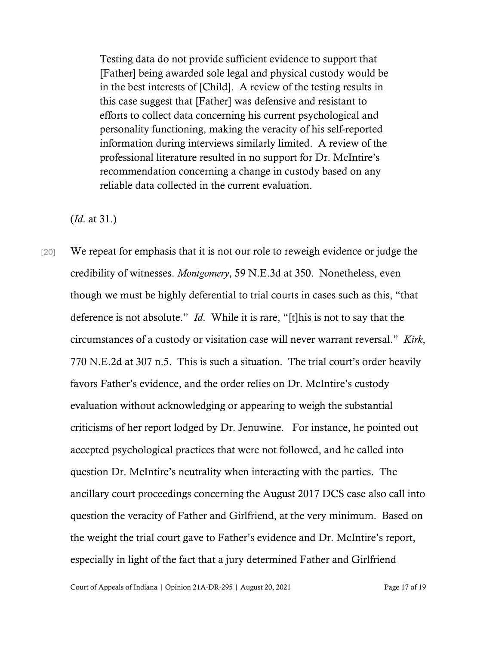Testing data do not provide sufficient evidence to support that [Father] being awarded sole legal and physical custody would be in the best interests of [Child]. A review of the testing results in this case suggest that [Father] was defensive and resistant to efforts to collect data concerning his current psychological and personality functioning, making the veracity of his self-reported information during interviews similarly limited. A review of the professional literature resulted in no support for Dr. McIntire's recommendation concerning a change in custody based on any reliable data collected in the current evaluation.

(*Id*. at 31.)

[20] We repeat for emphasis that it is not our role to reweigh evidence or judge the credibility of witnesses. *Montgomery*, 59 N.E.3d at 350. Nonetheless, even though we must be highly deferential to trial courts in cases such as this, "that deference is not absolute." *Id*. While it is rare, "[t]his is not to say that the circumstances of a custody or visitation case will never warrant reversal." *Kirk*, 770 N.E.2d at 307 n.5. This is such a situation. The trial court's order heavily favors Father's evidence, and the order relies on Dr. McIntire's custody evaluation without acknowledging or appearing to weigh the substantial criticisms of her report lodged by Dr. Jenuwine. For instance, he pointed out accepted psychological practices that were not followed, and he called into question Dr. McIntire's neutrality when interacting with the parties. The ancillary court proceedings concerning the August 2017 DCS case also call into question the veracity of Father and Girlfriend, at the very minimum. Based on the weight the trial court gave to Father's evidence and Dr. McIntire's report, especially in light of the fact that a jury determined Father and Girlfriend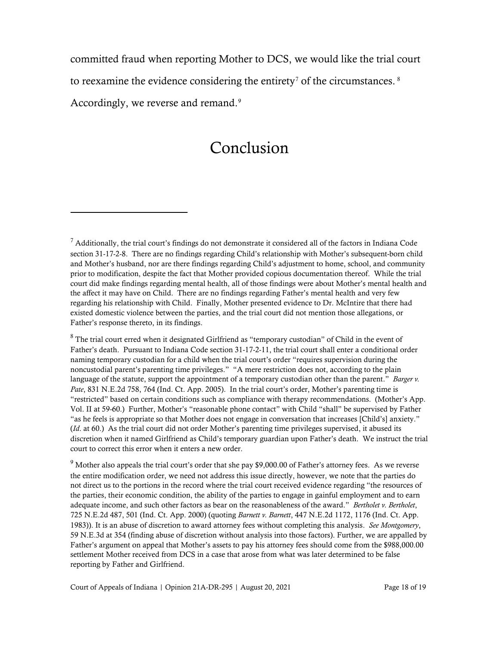committed fraud when reporting Mother to DCS, we would like the trial court to reexamine the evidence considering the entirety<sup>[7](#page-17-0)</sup> of the circumstances.  $8$ Accordingly, we reverse and remand.<sup>[9](#page-17-2)</sup>

## Conclusion

<span id="page-17-1"></span><sup>8</sup> The trial court erred when it designated Girlfriend as "temporary custodian" of Child in the event of Father's death. Pursuant to Indiana Code section 31-17-2-11, the trial court shall enter a conditional order naming temporary custodian for a child when the trial court's order "requires supervision during the noncustodial parent's parenting time privileges." "A mere restriction does not, according to the plain language of the statute, support the appointment of a temporary custodian other than the parent." *Barger v. Pate*, 831 N.E.2d 758, 764 (Ind. Ct. App. 2005). In the trial court's order, Mother's parenting time is "restricted" based on certain conditions such as compliance with therapy recommendations. (Mother's App. Vol. II at 59-60.) Further, Mother's "reasonable phone contact" with Child "shall" be supervised by Father "as he feels is appropriate so that Mother does not engage in conversation that increases [Child's] anxiety." (*Id*. at 60.) As the trial court did not order Mother's parenting time privileges supervised, it abused its discretion when it named Girlfriend as Child's temporary guardian upon Father's death. We instruct the trial court to correct this error when it enters a new order.

<span id="page-17-2"></span><sup>9</sup> Mother also appeals the trial court's order that she pay \$9,000.00 of Father's attorney fees. As we reverse the entire modification order, we need not address this issue directly, however, we note that the parties do not direct us to the portions in the record where the trial court received evidence regarding "the resources of the parties, their economic condition, the ability of the parties to engage in gainful employment and to earn adequate income, and such other factors as bear on the reasonableness of the award." *Bertholet v. Bertholet*, 725 N.E.2d 487, 501 (Ind. Ct. App. 2000) (quoting *Barnett v. Barnett*, 447 N.E.2d 1172, 1176 (Ind. Ct. App. 1983)). It is an abuse of discretion to award attorney fees without completing this analysis. *See Montgomery*, 59 N.E.3d at 354 (finding abuse of discretion without analysis into those factors). Further, we are appalled by Father's argument on appeal that Mother's assets to pay his attorney fees should come from the \$988,000.00 settlement Mother received from DCS in a case that arose from what was later determined to be false reporting by Father and Girlfriend.

Court of Appeals of Indiana | Opinion 21A-DR-295 | August 20, 2021 Page 18 of 19

<span id="page-17-0"></span> $7$  Additionally, the trial court's findings do not demonstrate it considered all of the factors in Indiana Code section 31-17-2-8. There are no findings regarding Child's relationship with Mother's subsequent-born child and Mother's husband, nor are there findings regarding Child's adjustment to home, school, and community prior to modification, despite the fact that Mother provided copious documentation thereof. While the trial court did make findings regarding mental health, all of those findings were about Mother's mental health and the affect it may have on Child. There are no findings regarding Father's mental health and very few regarding his relationship with Child. Finally, Mother presented evidence to Dr. McIntire that there had existed domestic violence between the parties, and the trial court did not mention those allegations, or Father's response thereto, in its findings.